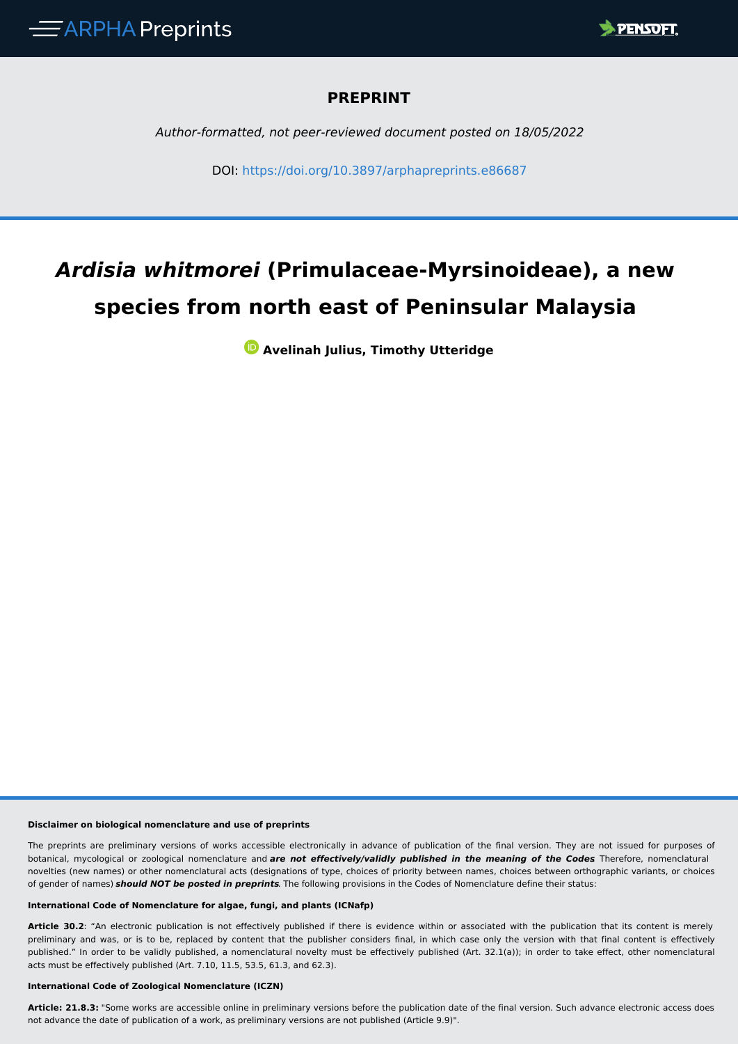

### **PREPRINT**

*Author-formatted, not peer-reviewed document posted on 18/05/2022*

DOI: <https://doi.org/10.3897/arphapreprints.e86687>

# *Ardisia whitmorei* **(Primulaceae-Myrsinoideae), a new species from north east of Peninsular Malaysia**

**Avelinah Julius, Timothy Utteridge**

### **Disclaimer on biological nomenclature and use of preprints**

The preprints are preliminary versions of works accessible electronically in advance of publication of the final version. They are not issued for purposes of botanical, mycological or zoological nomenclature and *are not effectively/validly published in the meaning of the Codes*. Therefore, nomenclatural novelties (new names) or other nomenclatural acts (designations of type, choices of priority between names, choices between orthographic variants, or choices of gender of names) *should NOT be posted in preprints*. The following provisions in the Codes of Nomenclature define their status:

#### **International Code of Nomenclature for algae, fungi, and plants (ICNafp)**

**Article 30.2**: "An electronic publication is not effectively published if there is evidence within or associated with the publication that its content is merely preliminary and was, or is to be, replaced by content that the publisher considers final, in which case only the version with that final content is effectively published." In order to be validly published, a nomenclatural novelty must be effectively published (Art. 32.1(a)); in order to take effect, other nomenclatural acts must be effectively published (Art. 7.10, 11.5, 53.5, 61.3, and 62.3).

#### **International Code of Zoological Nomenclature (ICZN)**

**Article: 21.8.3:** "Some works are accessible online in preliminary versions before the publication date of the final version. Such advance electronic access does not advance the date of publication of a work, as preliminary versions are not published (Article 9.9)".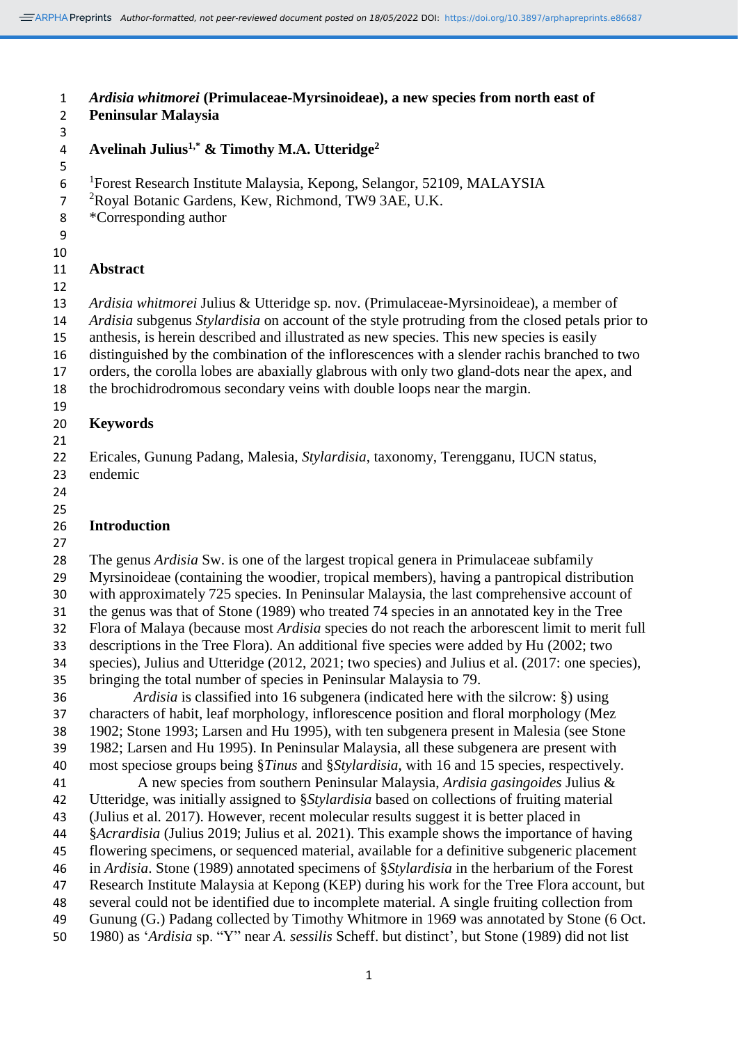*Author-formatted, not peer-reviewed document posted on 18/05/2022*. DOI: https://doi.org/10.3897/arphapreprints.e86687

 *Ardisia whitmorei* **(Primulaceae-Myrsinoideae), a new species from north east of Peninsular Malaysia Avelinah Julius1,\* & Timothy M.A. Utteridge<sup>2</sup>** 6 <sup>1</sup>Forest Research Institute Malaysia, Kepong, Selangor, 52109, MALAYSIA <sup>2</sup>Royal Botanic Gardens, Kew, Richmond, TW9 3AE, U.K. \*Corresponding author **Abstract** *Ardisia whitmorei* Julius & Utteridge sp. nov. (Primulaceae-Myrsinoideae), a member of *Ardisia* subgenus *Stylardisia* on account of the style protruding from the closed petals prior to anthesis, is herein described and illustrated as new species. This new species is easily distinguished by the combination of the inflorescences with a slender rachis branched to two orders, the corolla lobes are abaxially glabrous with only two gland-dots near the apex, and the brochidrodromous secondary veins with double loops near the margin. **Keywords** Ericales, Gunung Padang, Malesia, *Stylardisia*, taxonomy, Terengganu, IUCN status, endemic **Introduction** The genus *Ardisia* Sw. is one of the largest tropical genera in Primulaceae subfamily Myrsinoideae (containing the woodier, tropical members), having a pantropical distribution with approximately 725 species. In Peninsular Malaysia, the last comprehensive account of the genus was that of Stone (1989) who treated 74 species in an annotated key in the Tree Flora of Malaya (because most *Ardisia* species do not reach the arborescent limit to merit full descriptions in the Tree Flora). An additional five species were added by Hu (2002; two species), Julius and Utteridge (2012, 2021; two species) and Julius et al. (2017: one species), bringing the total number of species in Peninsular Malaysia to 79. *Ardisia* is classified into 16 subgenera (indicated here with the silcrow: §) using characters of habit, leaf morphology, inflorescence position and floral morphology (Mez 1902; Stone 1993; Larsen and Hu 1995), with ten subgenera present in Malesia (see Stone 1982; Larsen and Hu 1995). In Peninsular Malaysia, all these subgenera are present with most speciose groups being §*Tinus* and §*Stylardisia*, with 16 and 15 species, respectively. A new species from southern Peninsular Malaysia, *Ardisia gasingoides* Julius & Utteridge, was initially assigned to §*Stylardisia* based on collections of fruiting material (Julius et al*.* 2017). However, recent molecular results suggest it is better placed in

§*Acrardisia* (Julius 2019; Julius et al*.* 2021). This example shows the importance of having

- flowering specimens, or sequenced material, available for a definitive subgeneric placement in *Ardisia*. Stone (1989) annotated specimens of §*Stylardisia* in the herbarium of the Forest
- Research Institute Malaysia at Kepong (KEP) during his work for the Tree Flora account, but
- several could not be identified due to incomplete material. A single fruiting collection from
- Gunung (G.) Padang collected by Timothy Whitmore in 1969 was annotated by Stone (6 Oct.
- 1980) as '*Ardisia* sp. "Y" near *A. sessilis* Scheff. but distinct', but Stone (1989) did not list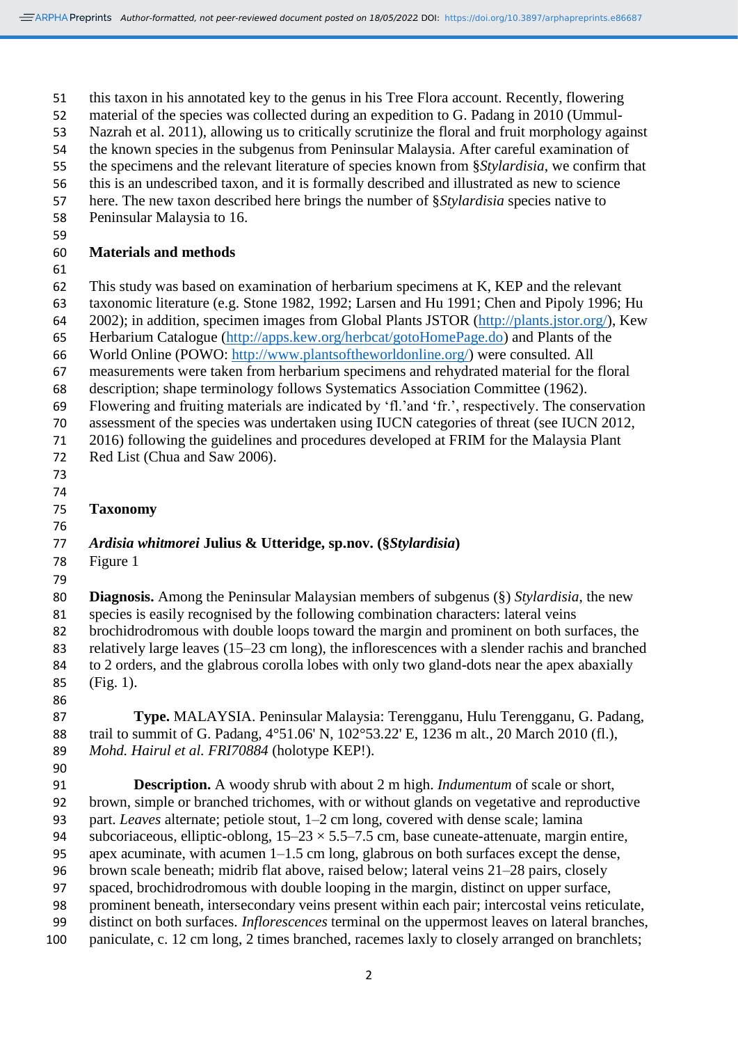this taxon in his annotated key to the genus in his Tree Flora account. Recently, flowering

material of the species was collected during an expedition to G. Padang in 2010 (Ummul-

Nazrah et al. 2011), allowing us to critically scrutinize the floral and fruit morphology against

 the known species in the subgenus from Peninsular Malaysia. After careful examination of the specimens and the relevant literature of species known from §*Stylardisia*, we confirm that

this is an undescribed taxon, and it is formally described and illustrated as new to science

here. The new taxon described here brings the number of §*Stylardisia* species native to

Peninsular Malaysia to 16.

**Materials and methods**

This study was based on examination of herbarium specimens at K, KEP and the relevant

taxonomic literature (e.g. Stone 1982, 1992; Larsen and Hu 1991; Chen and Pipoly 1996; Hu

2002); in addition, specimen images from Global Plants JSTOR [\(http://plants.jstor.org/\)](http://plants.jstor.org/), Kew

Herbarium Catalogue [\(http://apps.kew.org/herbcat/gotoHomePage.do\)](http://apps.kew.org/herbcat/gotoHomePage.do) and Plants of the

- World Online (POWO: [http://www.plantsoftheworldonline.org/\)](http://www.plantsoftheworldonline.org/) were consulted. All
- measurements were taken from herbarium specimens and rehydrated material for the floral description; shape terminology follows Systematics Association Committee (1962).

Flowering and fruiting materials are indicated by 'fl.'and 'fr.', respectively. The conservation

assessment of the species was undertaken using IUCN categories of threat (see IUCN 2012,

- 2016) following the guidelines and procedures developed at FRIM for the Malaysia Plant 72 Red List (Chua and Saw 2006).
- 
- 
- **Taxonomy**
- 

## *Ardisia whitmorei* **Julius & Utteridge, sp.nov. (§***Stylardisia***)**

- Figure 1
- 

 **Diagnosis.** Among the Peninsular Malaysian members of subgenus (§) *Stylardisia*, the new species is easily recognised by the following combination characters: lateral veins brochidrodromous with double loops toward the margin and prominent on both surfaces, the relatively large leaves (15–23 cm long), the inflorescences with a slender rachis and branched to 2 orders, and the glabrous corolla lobes with only two gland-dots near the apex abaxially (Fig. 1).

 **Type.** MALAYSIA. Peninsular Malaysia: Terengganu, Hulu Terengganu, G. Padang, trail to summit of G. Padang, 4°51.06' N, 102°53.22' E, 1236 m alt., 20 March 2010 (fl.), *Mohd. Hairul et al. FRI70884* (holotype KEP!).

 **Description.** A woody shrub with about 2 m high. *Indumentum* of scale or short, brown, simple or branched trichomes, with or without glands on vegetative and reproductive part. *Leaves* alternate; petiole stout, 1–2 cm long, covered with dense scale; lamina 94 subcoriaceous, elliptic-oblong,  $15-23 \times 5.5-7.5$  cm, base cuneate-attenuate, margin entire, apex acuminate, with acumen 1–1.5 cm long, glabrous on both surfaces except the dense, brown scale beneath; midrib flat above, raised below; lateral veins 21–28 pairs, closely spaced, brochidrodromous with double looping in the margin, distinct on upper surface, prominent beneath, intersecondary veins present within each pair; intercostal veins reticulate, distinct on both surfaces. *Inflorescences* terminal on the uppermost leaves on lateral branches, paniculate, c. 12 cm long, 2 times branched, racemes laxly to closely arranged on branchlets;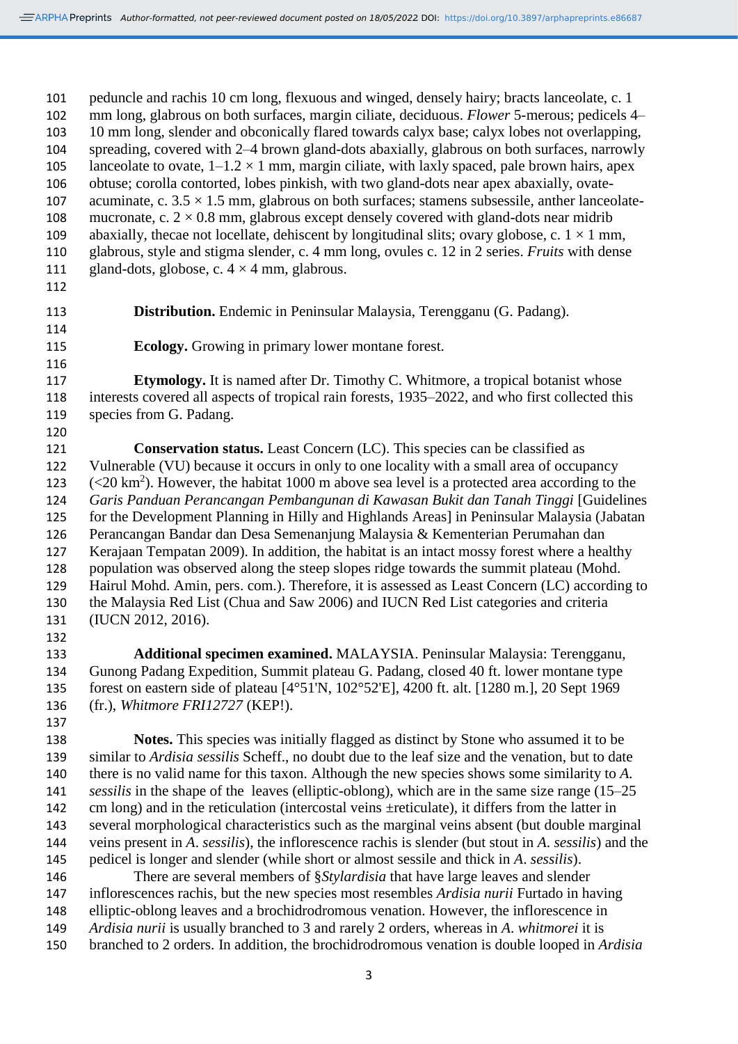peduncle and rachis 10 cm long, flexuous and winged, densely hairy; bracts lanceolate, c. 1 mm long, glabrous on both surfaces, margin ciliate, deciduous. *Flower* 5-merous; pedicels 4– 10 mm long, slender and obconically flared towards calyx base; calyx lobes not overlapping, spreading, covered with 2–4 brown gland-dots abaxially, glabrous on both surfaces, narrowly 105 lanceolate to ovate,  $1-1.2 \times 1$  mm, margin ciliate, with laxly spaced, pale brown hairs, apex obtuse; corolla contorted, lobes pinkish, with two gland-dots near apex abaxially, ovate-107 acuminate, c.  $3.5 \times 1.5$  mm, glabrous on both surfaces; stamens subsessile, anther lanceolate-108 mucronate, c.  $2 \times 0.8$  mm, glabrous except densely covered with gland-dots near midrib 109 abaxially, thecae not locellate, dehiscent by longitudinal slits; ovary globose, c.  $1 \times 1$  mm, glabrous, style and stigma slender, c. 4 mm long, ovules c. 12 in 2 series. *Fruits* with dense 111 gland-dots, globose, c.  $4 \times 4$  mm, glabrous. **Distribution.** Endemic in Peninsular Malaysia, Terengganu (G. Padang). **Ecology.** Growing in primary lower montane forest. **Etymology.** It is named after Dr. Timothy C. Whitmore, a tropical botanist whose interests covered all aspects of tropical rain forests, 1935–2022, and who first collected this species from G. Padang. **Conservation status.** Least Concern (LC). This species can be classified as Vulnerable (VU) because it occurs in only to one locality with a small area of occupancy  $\left( \langle 20 \text{ km}^2 \rangle \right)$ . However, the habitat 1000 m above sea level is a protected area according to the *Garis Panduan Perancangan Pembangunan di Kawasan Bukit dan Tanah Tinggi* [Guidelines for the Development Planning in Hilly and Highlands Areas] in Peninsular Malaysia (Jabatan Perancangan Bandar dan Desa Semenanjung Malaysia & Kementerian Perumahan dan Kerajaan Tempatan 2009). In addition, the habitat is an intact mossy forest where a healthy population was observed along the steep slopes ridge towards the summit plateau (Mohd. Hairul Mohd. Amin, pers. com.). Therefore, it is assessed as Least Concern (LC) according to the Malaysia Red List (Chua and Saw 2006) and IUCN Red List categories and criteria (IUCN 2012, 2016). **Additional specimen examined.** MALAYSIA. Peninsular Malaysia: Terengganu, Gunong Padang Expedition, Summit plateau G. Padang, closed 40 ft. lower montane type forest on eastern side of plateau [4°51'N, 102°52'E], 4200 ft. alt. [1280 m.], 20 Sept 1969 (fr.), *Whitmore FRI12727* (KEP!). **Notes.** This species was initially flagged as distinct by Stone who assumed it to be similar to *Ardisia sessilis* Scheff., no doubt due to the leaf size and the venation, but to date there is no valid name for this taxon. Although the new species shows some similarity to *A. sessilis* in the shape of the leaves (elliptic-oblong), which are in the same size range (15–25 cm long) and in the reticulation (intercostal veins ±reticulate), it differs from the latter in

 several morphological characteristics such as the marginal veins absent (but double marginal veins present in *A*. *sessilis*), the inflorescence rachis is slender (but stout in *A*. *sessilis*) and the pedicel is longer and slender (while short or almost sessile and thick in *A*. *sessilis*). There are several members of §*Stylardisia* that have large leaves and slender

 inflorescences rachis, but the new species most resembles *Ardisia nurii* Furtado in having elliptic-oblong leaves and a brochidrodromous venation. However, the inflorescence in *Ardisia nurii* is usually branched to 3 and rarely 2 orders, whereas in *A*. *whitmorei* it is branched to 2 orders. In addition, the brochidrodromous venation is double looped in *Ardisia*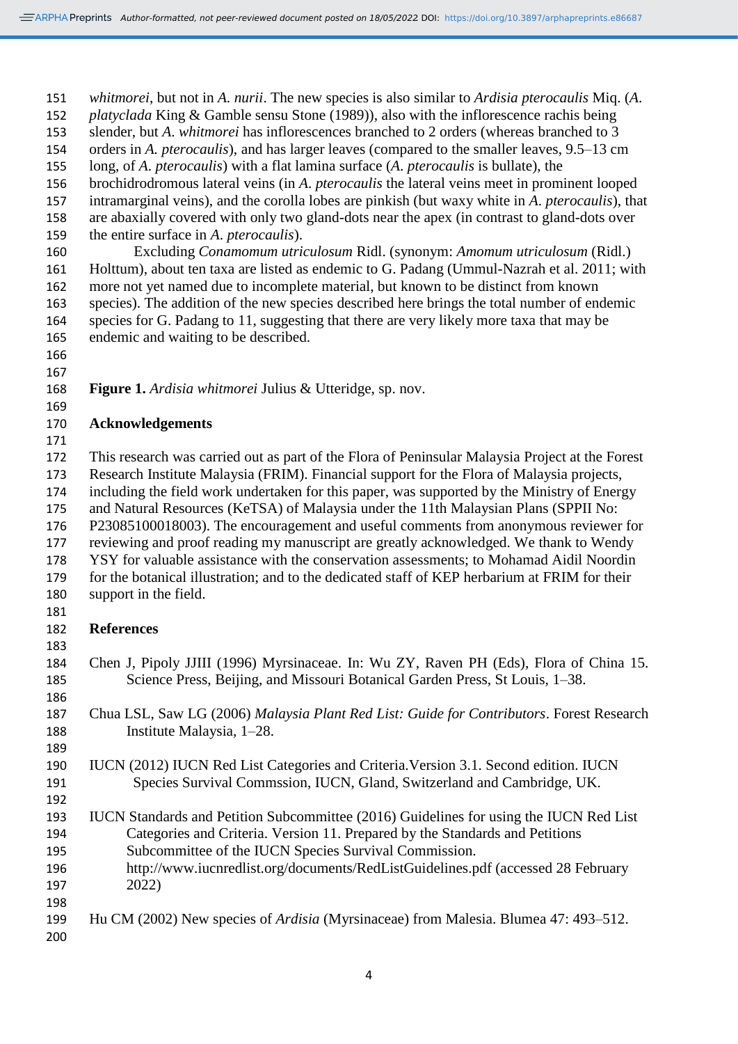*whitmorei*, but not in *A. nurii*. The new species is also similar to *Ardisia pterocaulis* Miq. (*A*.

 *platyclada* King & Gamble sensu Stone (1989)), also with the inflorescence rachis being slender, but *A*. *whitmorei* has inflorescences branched to 2 orders (whereas branched to 3

orders in *A. pterocaulis*), and has larger leaves (compared to the smaller leaves, 9.5–13 cm

long, of *A*. *pterocaulis*) with a flat lamina surface (*A*. *pterocaulis* is bullate), the

brochidrodromous lateral veins (in *A*. *pterocaulis* the lateral veins meet in prominent looped

intramarginal veins), and the corolla lobes are pinkish (but waxy white in *A*. *pterocaulis*), that

are abaxially covered with only two gland-dots near the apex (in contrast to gland-dots over

the entire surface in *A*. *pterocaulis*).

 Excluding *Conamomum utriculosum* Ridl. (synonym: *Amomum utriculosum* (Ridl.) Holttum), about ten taxa are listed as endemic to G. Padang (Ummul-Nazrah et al. 2011; with more not yet named due to incomplete material, but known to be distinct from known species). The addition of the new species described here brings the total number of endemic species for G. Padang to 11, suggesting that there are very likely more taxa that may be endemic and waiting to be described.

**Figure 1.** *Ardisia whitmorei* Julius & Utteridge, sp. nov.

### **Acknowledgements**

 This research was carried out as part of the Flora of Peninsular Malaysia Project at the Forest Research Institute Malaysia (FRIM). Financial support for the Flora of Malaysia projects, including the field work undertaken for this paper, was supported by the Ministry of Energy and Natural Resources (KeTSA) of Malaysia under the 11th Malaysian Plans (SPPII No: P23085100018003). The encouragement and useful comments from anonymous reviewer for reviewing and proof reading my manuscript are greatly acknowledged. We thank to Wendy YSY for valuable assistance with the conservation assessments; to Mohamad Aidil Noordin for the botanical illustration; and to the dedicated staff of KEP herbarium at FRIM for their

- support in the field.
- 

### **References**

 Chen J, Pipoly JJIII (1996) Myrsinaceae. In: Wu ZY, Raven PH (Eds), Flora of China 15. Science Press, Beijing, and Missouri Botanical Garden Press, St Louis, 1–38.

 Chua LSL, Saw LG (2006) *Malaysia Plant Red List: Guide for Contributors*. Forest Research Institute Malaysia, 1–28.

### IUCN (2012) IUCN Red List Categories and Criteria.Version 3.1. Second edition. IUCN Species Survival Commssion, IUCN, Gland, Switzerland and Cambridge, UK.

- IUCN Standards and Petition Subcommittee (2016) Guidelines for using the IUCN Red List Categories and Criteria. Version 11. Prepared by the Standards and Petitions Subcommittee of the IUCN Species Survival Commission. http://www.iucnredlist.org/documents/RedListGuidelines.pdf (accessed 28 February 2022)
- Hu CM (2002) New species of *Ardisia* (Myrsinaceae) from Malesia. Blumea 47: 493–512.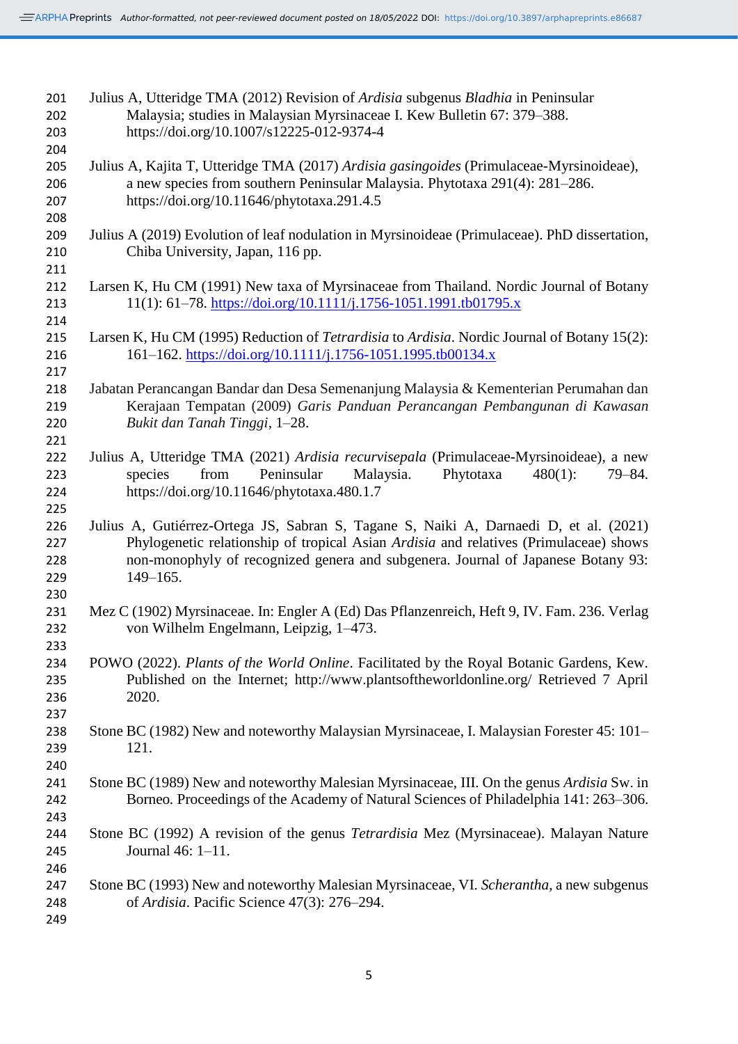| 201 | Julius A, Utteridge TMA (2012) Revision of Ardisia subgenus Bladhia in Peninsular                          |
|-----|------------------------------------------------------------------------------------------------------------|
| 202 | Malaysia; studies in Malaysian Myrsinaceae I. Kew Bulletin 67: 379–388.                                    |
| 203 | https://doi.org/10.1007/s12225-012-9374-4                                                                  |
| 204 |                                                                                                            |
| 205 | Julius A, Kajita T, Utteridge TMA (2017) Ardisia gasingoides (Primulaceae-Myrsinoideae),                   |
| 206 | a new species from southern Peninsular Malaysia. Phytotaxa 291(4): 281–286.                                |
| 207 | https://doi.org/10.11646/phytotaxa.291.4.5                                                                 |
| 208 |                                                                                                            |
| 209 | Julius A (2019) Evolution of leaf nodulation in Myrsinoideae (Primulaceae). PhD dissertation,              |
| 210 | Chiba University, Japan, 116 pp.                                                                           |
| 211 |                                                                                                            |
| 212 | Larsen K, Hu CM (1991) New taxa of Myrsinaceae from Thailand. Nordic Journal of Botany                     |
| 213 | 11(1): 61–78. https://doi.org/10.1111/j.1756-1051.1991.tb01795.x                                           |
|     |                                                                                                            |
| 214 |                                                                                                            |
| 215 | Larsen K, Hu CM (1995) Reduction of <i>Tetrardisia</i> to <i>Ardisia</i> . Nordic Journal of Botany 15(2): |
| 216 | 161-162. https://doi.org/10.1111/j.1756-1051.1995.tb00134.x                                                |
| 217 |                                                                                                            |
| 218 | Jabatan Perancangan Bandar dan Desa Semenanjung Malaysia & Kementerian Perumahan dan                       |
| 219 | Kerajaan Tempatan (2009) Garis Panduan Perancangan Pembangunan di Kawasan                                  |
| 220 | Bukit dan Tanah Tinggi, 1-28.                                                                              |
| 221 |                                                                                                            |
| 222 | Julius A, Utteridge TMA (2021) Ardisia recurvisepala (Primulaceae-Myrsinoideae), a new                     |
| 223 | Peninsular<br>Malaysia.<br>Phytotaxa<br>species<br>from<br>$480(1)$ :<br>$79 - 84.$                        |
| 224 | https://doi.org/10.11646/phytotaxa.480.1.7                                                                 |
| 225 |                                                                                                            |
| 226 | Julius A, Gutiérrez-Ortega JS, Sabran S, Tagane S, Naiki A, Darnaedi D, et al. (2021)                      |
| 227 | Phylogenetic relationship of tropical Asian Ardisia and relatives (Primulaceae) shows                      |
| 228 | non-monophyly of recognized genera and subgenera. Journal of Japanese Botany 93:                           |
| 229 | $149 - 165.$                                                                                               |
| 230 |                                                                                                            |
| 231 | Mez C (1902) Myrsinaceae. In: Engler A (Ed) Das Pflanzenreich, Heft 9, IV. Fam. 236. Verlag                |
| 232 | von Wilhelm Engelmann, Leipzig, 1–473.                                                                     |
| 233 |                                                                                                            |
| 234 | POWO (2022). Plants of the World Online. Facilitated by the Royal Botanic Gardens, Kew.                    |
| 235 | Published on the Internet; http://www.plantsoftheworldonline.org/ Retrieved 7 April                        |
| 236 | 2020.                                                                                                      |
| 237 |                                                                                                            |
| 238 | Stone BC (1982) New and noteworthy Malaysian Myrsinaceae, I. Malaysian Forester 45: 101–                   |
| 239 | 121.                                                                                                       |
| 240 |                                                                                                            |
| 241 | Stone BC (1989) New and noteworthy Malesian Myrsinaceae, III. On the genus Ardisia Sw. in                  |
| 242 | Borneo. Proceedings of the Academy of Natural Sciences of Philadelphia 141: 263–306.                       |
| 243 |                                                                                                            |
| 244 | Stone BC (1992) A revision of the genus <i>Tetrardisia</i> Mez (Myrsinaceae). Malayan Nature               |
|     |                                                                                                            |
| 245 | Journal 46: 1-11.                                                                                          |
| 246 |                                                                                                            |
| 247 | Stone BC (1993) New and noteworthy Malesian Myrsinaceae, VI. Scherantha, a new subgenus                    |
| 248 | of Ardisia. Pacific Science 47(3): 276–294.                                                                |
| 249 |                                                                                                            |